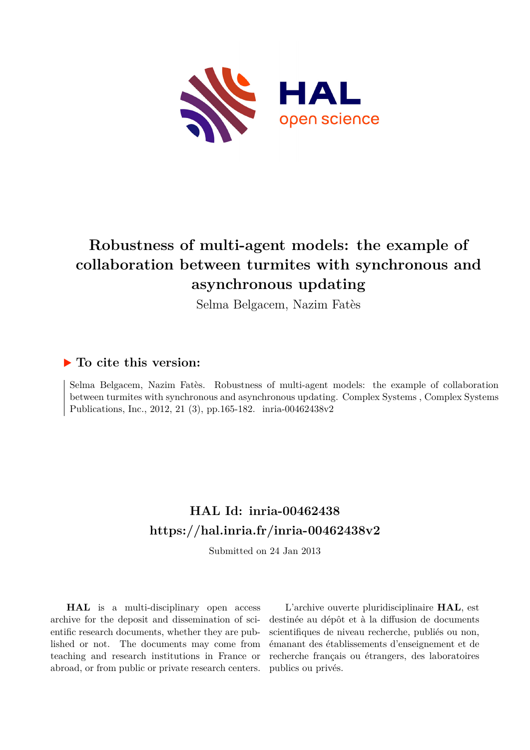

# **Robustness of multi-agent models: the example of collaboration between turmites with synchronous and asynchronous updating**

Selma Belgacem, Nazim Fatès

## **To cite this version:**

Selma Belgacem, Nazim Fatès. Robustness of multi-agent models: the example of collaboration between turmites with synchronous and asynchronous updating. Complex Systems , Complex Systems Publications, Inc., 2012, 21 (3), pp.165-182. inria-00462438v2

## **HAL Id: inria-00462438 <https://hal.inria.fr/inria-00462438v2>**

Submitted on 24 Jan 2013

**HAL** is a multi-disciplinary open access archive for the deposit and dissemination of scientific research documents, whether they are published or not. The documents may come from teaching and research institutions in France or abroad, or from public or private research centers.

L'archive ouverte pluridisciplinaire **HAL**, est destinée au dépôt et à la diffusion de documents scientifiques de niveau recherche, publiés ou non, émanant des établissements d'enseignement et de recherche français ou étrangers, des laboratoires publics ou privés.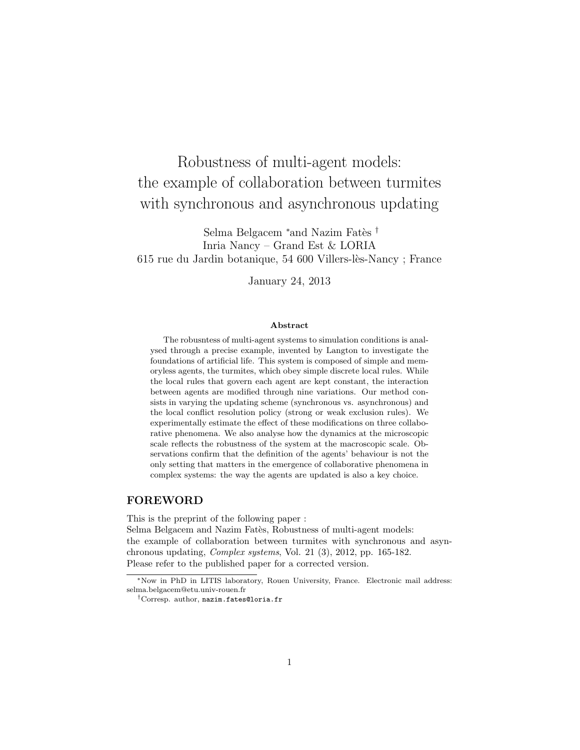# Robustness of multi-agent models: the example of collaboration between turmites with synchronous and asynchronous updating

Selma Belgacem <sup>∗</sup>and Nazim Fatès <sup>†</sup> Inria Nancy – Grand Est & LORIA 615 rue du Jardin botanique, 54 600 Villers-l`es-Nancy ; France

January 24, 2013

#### Abstract

The robusntess of multi-agent systems to simulation conditions is analysed through a precise example, invented by Langton to investigate the foundations of artificial life. This system is composed of simple and memoryless agents, the turmites, which obey simple discrete local rules. While the local rules that govern each agent are kept constant, the interaction between agents are modified through nine variations. Our method consists in varying the updating scheme (synchronous vs. asynchronous) and the local conflict resolution policy (strong or weak exclusion rules). We experimentally estimate the effect of these modifications on three collaborative phenomena. We also analyse how the dynamics at the microscopic scale reflects the robustness of the system at the macroscopic scale. Observations confirm that the definition of the agents' behaviour is not the only setting that matters in the emergence of collaborative phenomena in complex systems: the way the agents are updated is also a key choice.

#### FOREWORD

This is the preprint of the following paper :

Selma Belgacem and Nazim Fatès, Robustness of multi-agent models: the example of collaboration between turmites with synchronous and asynchronous updating, Complex systems, Vol. 21 (3), 2012, pp. 165-182. Please refer to the published paper for a corrected version.

<sup>∗</sup>Now in PhD in LITIS laboratory, Rouen University, France. Electronic mail address: selma.belgacem@etu.univ-rouen.fr

<sup>†</sup>Corresp. author, nazim.fates@loria.fr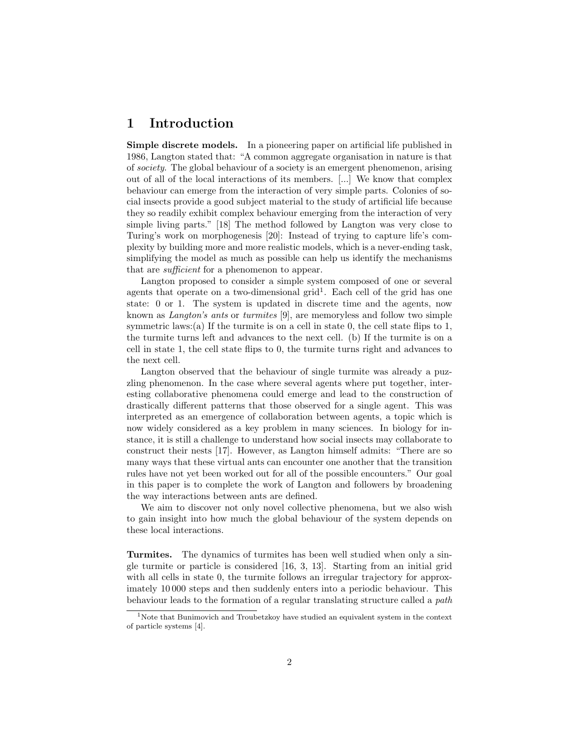## 1 Introduction

Simple discrete models. In a pioneering paper on artificial life published in 1986, Langton stated that: "A common aggregate organisation in nature is that of society. The global behaviour of a society is an emergent phenomenon, arising out of all of the local interactions of its members. [...] We know that complex behaviour can emerge from the interaction of very simple parts. Colonies of social insects provide a good subject material to the study of artificial life because they so readily exhibit complex behaviour emerging from the interaction of very simple living parts." [18] The method followed by Langton was very close to Turing's work on morphogenesis [20]: Instead of trying to capture life's complexity by building more and more realistic models, which is a never-ending task, simplifying the model as much as possible can help us identify the mechanisms that are sufficient for a phenomenon to appear.

Langton proposed to consider a simple system composed of one or several agents that operate on a two-dimensional grid<sup>1</sup>. Each cell of the grid has one state: 0 or 1. The system is updated in discrete time and the agents, now known as Langton's ants or turmites [9], are memoryless and follow two simple symmetric laws:(a) If the turmite is on a cell in state 0, the cell state flips to 1, the turmite turns left and advances to the next cell. (b) If the turmite is on a cell in state 1, the cell state flips to 0, the turmite turns right and advances to the next cell.

Langton observed that the behaviour of single turmite was already a puzzling phenomenon. In the case where several agents where put together, interesting collaborative phenomena could emerge and lead to the construction of drastically different patterns that those observed for a single agent. This was interpreted as an emergence of collaboration between agents, a topic which is now widely considered as a key problem in many sciences. In biology for instance, it is still a challenge to understand how social insects may collaborate to construct their nests [17]. However, as Langton himself admits: "There are so many ways that these virtual ants can encounter one another that the transition rules have not yet been worked out for all of the possible encounters." Our goal in this paper is to complete the work of Langton and followers by broadening the way interactions between ants are defined.

We aim to discover not only novel collective phenomena, but we also wish to gain insight into how much the global behaviour of the system depends on these local interactions.

Turmites. The dynamics of turmites has been well studied when only a single turmite or particle is considered [16, 3, 13]. Starting from an initial grid with all cells in state 0, the turmite follows an irregular trajectory for approximately 10 000 steps and then suddenly enters into a periodic behaviour. This behaviour leads to the formation of a regular translating structure called a path

<sup>&</sup>lt;sup>1</sup>Note that Bunimovich and Troubetzkoy have studied an equivalent system in the context of particle systems [4].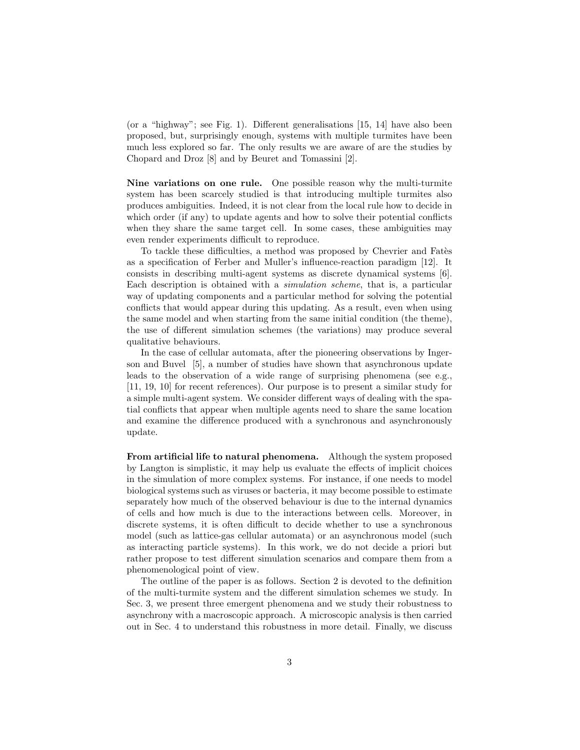(or a "highway"; see Fig. 1). Different generalisations [15, 14] have also been proposed, but, surprisingly enough, systems with multiple turmites have been much less explored so far. The only results we are aware of are the studies by Chopard and Droz [8] and by Beuret and Tomassini [2].

Nine variations on one rule. One possible reason why the multi-turmite system has been scarcely studied is that introducing multiple turmites also produces ambiguities. Indeed, it is not clear from the local rule how to decide in which order (if any) to update agents and how to solve their potential conflicts when they share the same target cell. In some cases, these ambiguities may even render experiments difficult to reproduce.

To tackle these difficulties, a method was proposed by Chevrier and Fates as a specification of Ferber and Muller's influence-reaction paradigm [12]. It consists in describing multi-agent systems as discrete dynamical systems [6]. Each description is obtained with a simulation scheme, that is, a particular way of updating components and a particular method for solving the potential conflicts that would appear during this updating. As a result, even when using the same model and when starting from the same initial condition (the theme), the use of different simulation schemes (the variations) may produce several qualitative behaviours.

In the case of cellular automata, after the pioneering observations by Ingerson and Buvel [5], a number of studies have shown that asynchronous update leads to the observation of a wide range of surprising phenomena (see e.g., [11, 19, 10] for recent references). Our purpose is to present a similar study for a simple multi-agent system. We consider different ways of dealing with the spatial conflicts that appear when multiple agents need to share the same location and examine the difference produced with a synchronous and asynchronously update.

From artificial life to natural phenomena. Although the system proposed by Langton is simplistic, it may help us evaluate the effects of implicit choices in the simulation of more complex systems. For instance, if one needs to model biological systems such as viruses or bacteria, it may become possible to estimate separately how much of the observed behaviour is due to the internal dynamics of cells and how much is due to the interactions between cells. Moreover, in discrete systems, it is often difficult to decide whether to use a synchronous model (such as lattice-gas cellular automata) or an asynchronous model (such as interacting particle systems). In this work, we do not decide a priori but rather propose to test different simulation scenarios and compare them from a phenomenological point of view.

The outline of the paper is as follows. Section 2 is devoted to the definition of the multi-turmite system and the different simulation schemes we study. In Sec. 3, we present three emergent phenomena and we study their robustness to asynchrony with a macroscopic approach. A microscopic analysis is then carried out in Sec. 4 to understand this robustness in more detail. Finally, we discuss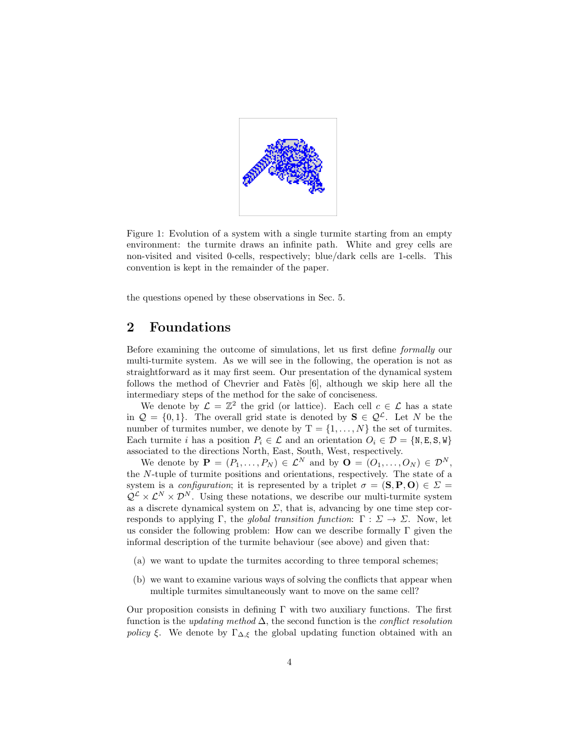

Figure 1: Evolution of a system with a single turmite starting from an empty environment: the turmite draws an infinite path. White and grey cells are non-visited and visited 0-cells, respectively; blue/dark cells are 1-cells. This convention is kept in the remainder of the paper.

the questions opened by these observations in Sec. 5.

## 2 Foundations

Before examining the outcome of simulations, let us first define formally our multi-turmite system. As we will see in the following, the operation is not as straightforward as it may first seem. Our presentation of the dynamical system follows the method of Chevrier and Fates [6], although we skip here all the intermediary steps of the method for the sake of conciseness.

We denote by  $\mathcal{L} = \mathbb{Z}^2$  the grid (or lattice). Each cell  $c \in \mathcal{L}$  has a state in  $\mathcal{Q} = \{0, 1\}$ . The overall grid state is denoted by  $\mathbf{S} \in \mathcal{Q}^{\mathcal{L}}$ . Let N be the number of turmites number, we denote by  $T = \{1, \ldots, N\}$  the set of turmites. Each turmite i has a position  $P_i \in \mathcal{L}$  and an orientation  $O_i \in \mathcal{D} = \{N, E, S, W\}$ associated to the directions North, East, South, West, respectively.

We denote by  $\mathbf{P} = (P_1, \ldots, P_N) \in \mathcal{L}^N$  and by  $\mathbf{O} = (O_1, \ldots, O_N) \in \mathcal{D}^N$ , the N-tuple of turmite positions and orientations, respectively. The state of a system is a *configuration*; it is represented by a triplet  $\sigma = (\mathbf{S}, \mathbf{P}, \mathbf{O}) \in \Sigma$  $\mathcal{Q}^{\mathcal{L}} \times \mathcal{L}^{N} \times \mathcal{D}^{N}$ . Using these notations, we describe our multi-turmite system as a discrete dynamical system on  $\Sigma$ , that is, advancing by one time step corresponds to applying Γ, the global transition function:  $\Gamma : \Sigma \to \Sigma$ . Now, let us consider the following problem: How can we describe formally  $\Gamma$  given the informal description of the turmite behaviour (see above) and given that:

- (a) we want to update the turmites according to three temporal schemes;
- (b) we want to examine various ways of solving the conflicts that appear when multiple turmites simultaneously want to move on the same cell?

Our proposition consists in defining  $\Gamma$  with two auxiliary functions. The first function is the *updating method*  $\Delta$ , the second function is the *conflict resolution policy* ξ. We denote by  $\Gamma_{\Delta,\xi}$  the global updating function obtained with an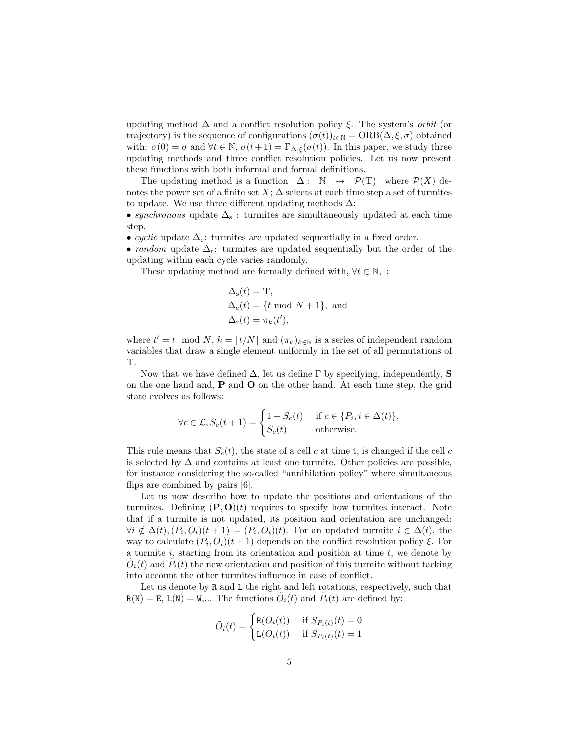updating method  $\Delta$  and a conflict resolution policy  $\xi$ . The system's *orbit* (or trajectory) is the sequence of configurations  $(\sigma(t))_{t\in\mathbb{N}} = \text{ORB}(\Delta, \xi, \sigma)$  obtained with:  $\sigma(0) = \sigma$  and  $\forall t \in \mathbb{N}$ ,  $\sigma(t+1) = \Gamma_{\Delta,\xi}(\sigma(t))$ . In this paper, we study three updating methods and three conflict resolution policies. Let us now present these functions with both informal and formal definitions.

The updating method is a function  $\Delta: \mathbb{N} \to \mathcal{P}(\mathbb{T})$  where  $\mathcal{P}(X)$  denotes the power set of a finite set  $X$ ;  $\Delta$  selects at each time step a set of turmites to update. We use three different updating methods  $\Delta$ :

• synchronous update  $\Delta_s$ : turmites are simultaneously updated at each time step.

• cyclic update  $\Delta_c$ : turmites are updated sequentially in a fixed order.

• random update  $\Delta_{r}$ : turmites are updated sequentially but the order of the updating within each cycle varies randomly.

These updating method are formally defined with,  $\forall t \in \mathbb{N}$ , :

$$
\Delta_{s}(t) = T,
$$
  
\n
$$
\Delta_{c}(t) = \{t \mod N + 1\}, \text{ and}
$$
  
\n
$$
\Delta_{r}(t) = \pi_{k}(t'),
$$

where  $t' = t \mod N$ ,  $k = \lfloor t/N \rfloor$  and  $(\pi_k)_{k \in \mathbb{N}}$  is a series of independent random variables that draw a single element uniformly in the set of all permutations of T.

Now that we have defined  $\Delta$ , let us define  $\Gamma$  by specifying, independently, **S** on the one hand and,  $P$  and  $O$  on the other hand. At each time step, the grid state evolves as follows:

$$
\forall c \in \mathcal{L}, S_c(t+1) = \begin{cases} 1 - S_c(t) & \text{if } c \in \{P_i, i \in \Delta(t)\}, \\ S_c(t) & \text{otherwise.} \end{cases}
$$

This rule means that  $S_c(t)$ , the state of a cell c at time t, is changed if the cell c is selected by  $\Delta$  and contains at least one turmite. Other policies are possible, for instance considering the so-called "annihilation policy" where simultaneous flips are combined by pairs [6].

Let us now describe how to update the positions and orientations of the turmites. Defining  $(P, O)(t)$  requires to specify how turmites interact. Note that if a turmite is not updated, its position and orientation are unchanged:  $\forall i \notin \Delta(t)$ ,  $(P_i, O_i)(t + 1) = (P_i, O_i)(t)$ . For an updated turmite  $i \in \Delta(t)$ , the way to calculate  $(P_i, O_i)(t+1)$  depends on the conflict resolution policy  $\xi$ . For a turmite  $i$ , starting from its orientation and position at time  $t$ , we denote by  $\tilde{O}_i(t)$  and  $\tilde{P}_i(t)$  the new orientation and position of this turmite without tacking into account the other turmites influence in case of conflict.

Let us denote by R and L the right and left rotations, respectively, such that  $R(N) = E$ ,  $L(N) = W$ ,... The functions  $\tilde{O}_i(t)$  and  $\tilde{P}_i(t)$  are defined by:

$$
\tilde{O}_i(t) = \begin{cases} \text{R}(O_i(t)) & \text{if } S_{P_i(t)}(t) = 0\\ \text{L}(O_i(t)) & \text{if } S_{P_i(t)}(t) = 1 \end{cases}
$$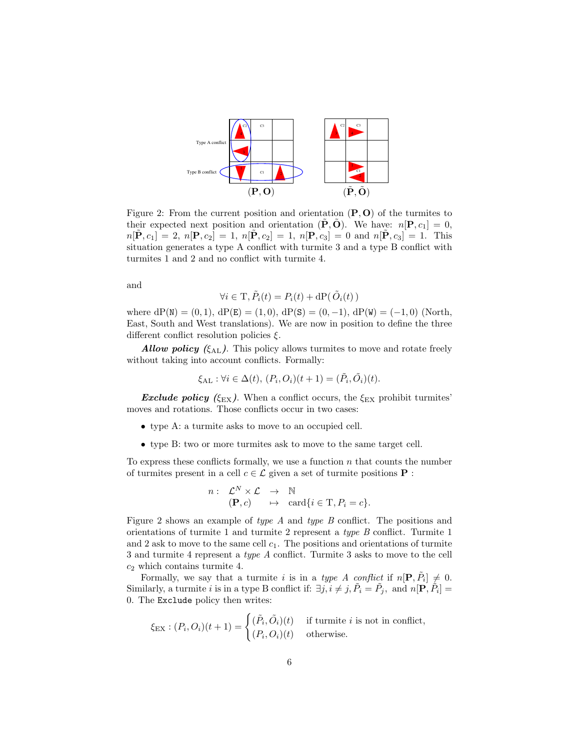

Figure 2: From the current position and orientation  $(P, O)$  of the turmites to their expected next position and orientation  $(\mathbf{P}, \mathbf{O})$ . We have:  $n[\mathbf{P}, c_1] = 0$ ,  $n[\tilde{P}, c_1] = 2$ ,  $n[P, c_2] = 1$ ,  $n[\tilde{P}, c_2] = 1$ ,  $n[P, c_3] = 0$  and  $n[\tilde{P}, c_3] = 1$ . This situation generates a type A conflict with turmite 3 and a type B conflict with turmites 1 and 2 and no conflict with turmite 4.

and

$$
\forall i \in \mathrm{T}, \tilde{P}_i(t) = P_i(t) + \mathrm{dP}(\tilde{O}_i(t))
$$

where  $dP(N) = (0, 1)$ ,  $dP(E) = (1, 0)$ ,  $dP(S) = (0, -1)$ ,  $dP(W) = (-1, 0)$  (North, East, South and West translations). We are now in position to define the three different conflict resolution policies  $\xi$ .

**Allow policy** ( $\xi_{AL}$ ). This policy allows turmites to move and rotate freely without taking into account conflicts. Formally:

$$
\xi_{\mathrm{AL}} : \forall i \in \Delta(t), (P_i, O_i)(t+1) = (\tilde{P}_i, \tilde{O}_i)(t).
$$

**Exclude policy** ( $\xi_{\text{EX}}$ ). When a conflict occurs, the  $\xi_{\text{EX}}$  prohibit turmites' moves and rotations. Those conflicts occur in two cases:

- type A: a turmite asks to move to an occupied cell.
- type B: two or more turmites ask to move to the same target cell.

To express these conflicts formally, we use a function  $n$  that counts the number of turmites present in a cell  $c \in \mathcal{L}$  given a set of turmite positions **P** :

$$
n: \mathcal{L}^N \times \mathcal{L} \rightarrow \mathbb{N}
$$
  

$$
(\mathbf{P}, c) \rightarrow \text{card}\{i \in \mathbb{T}, P_i = c\}.
$$

Figure 2 shows an example of type A and type B conflict. The positions and orientations of turmite 1 and turmite 2 represent a type B conflict. Turmite 1 and 2 ask to move to the same cell  $c_1$ . The positions and orientations of turmite 3 and turmite 4 represent a type A conflict. Turmite 3 asks to move to the cell  $c_2$  which contains turmite 4.

Formally, we say that a turmite i is in a type A conflict if  $n[\mathbf{P}, \tilde{P}_i] \neq 0$ . Similarly, a turmite i is in a type B conflict if:  $\exists j, i \neq j, \tilde{P}_i = \tilde{P}_j$ , and  $n[\mathbf{P}, \tilde{P}_i] =$ 0. The Exclude policy then writes:

$$
\xi_{\text{EX}} : (P_i, O_i)(t+1) = \begin{cases} (\tilde{P}_i, \tilde{O}_i)(t) & \text{if turnite } i \text{ is not in conflict,} \\ (P_i, O_i)(t) & \text{otherwise.} \end{cases}
$$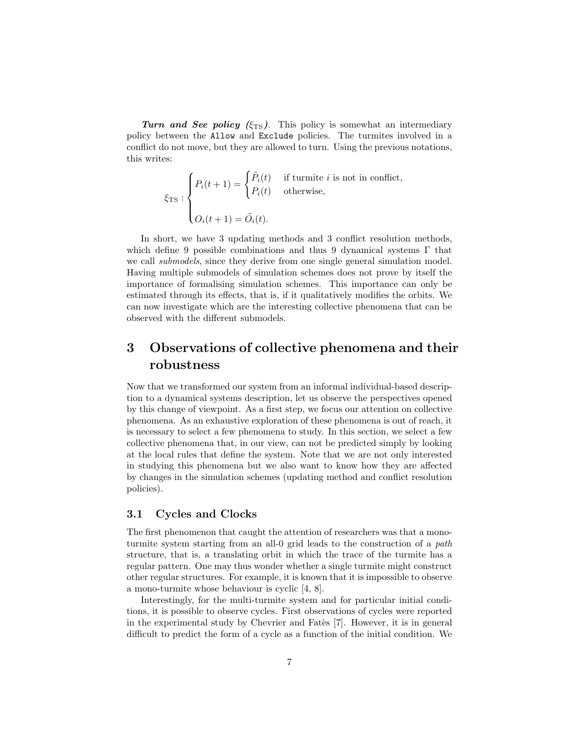Turn and See policy ( $\xi_{\text{TS}}$ ). This policy is somewhat an intermediary policy between the Allow and Exclude policies. The turmites involved in a conflict do not move, but they are allowed to turn. Using the previous notations, this writes:

$$
\xi_{\text{TS}} : \begin{cases} P_i(t+1) = \begin{cases} \tilde{P}_i(t) & \text{if turnite } i \text{ is not in conflict,} \\ P_i(t) & \text{otherwise,} \end{cases} \\ O_i(t+1) = \tilde{O}_i(t). \end{cases}
$$

In short, we have 3 updating methods and 3 conflict resolution methods, which define 9 possible combinations and thus 9 dynamical systems  $\Gamma$  that we call *submodels*, since they derive from one single general simulation model. Having multiple submodels of simulation schemes does not prove by itself the importance of formalising simulation schemes. This importance can only be estimated through its effects, that is, if it qualitatively modifies the orbits. We can now investigate which are the interesting collective phenomena that can be observed with the different submodels.

## 3 Observations of collective phenomena and their robustness

Now that we transformed our system from an informal individual-based description to a dynamical systems description, let us observe the perspectives opened by this change of viewpoint. As a first step, we focus our attention on collective phenomena. As an exhaustive exploration of these phenomena is out of reach, it is necessary to select a few phenomena to study. In this section, we select a few collective phenomena that, in our view, can not be predicted simply by looking at the local rules that define the system. Note that we are not only interested in studying this phenomena but we also want to know how they are affected by changes in the simulation schemes (updating method and conflict resolution policies).

#### 3.1 Cycles and Clocks

The first phenomenon that caught the attention of researchers was that a monoturmite system starting from an all-0 grid leads to the construction of a path structure, that is, a translating orbit in which the trace of the turmite has a regular pattern. One may thus wonder whether a single turmite might construct other regular structures. For example, it is known that it is impossible to observe a mono-turmite whose behaviour is cyclic [4, 8].

Interestingly, for the multi-turmite system and for particular initial conditions, it is possible to observe cycles. First observations of cycles were reported in the experimental study by Chevrier and Fates [7]. However, it is in general difficult to predict the form of a cycle as a function of the initial condition. We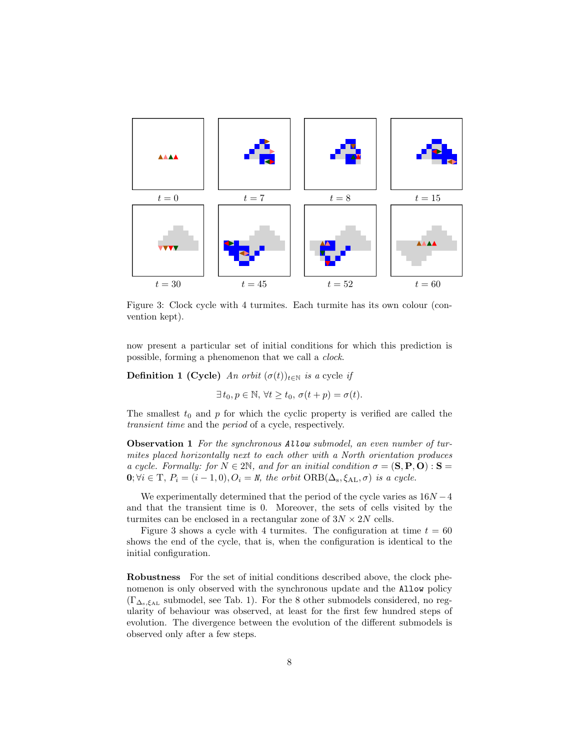

Figure 3: Clock cycle with 4 turmites. Each turmite has its own colour (convention kept).

now present a particular set of initial conditions for which this prediction is possible, forming a phenomenon that we call a clock.

**Definition 1 (Cycle)** An orbit  $(\sigma(t))_{t \in \mathbb{N}}$  is a cycle if

 $\exists t_0, p \in \mathbb{N}, \forall t \geq t_0, \sigma(t+p) = \sigma(t).$ 

The smallest  $t_0$  and p for which the cyclic property is verified are called the transient time and the period of a cycle, respectively.

**Observation 1** For the synchronous Allow submodel, an even number of turmites placed horizontally next to each other with a North orientation produces a cycle. Formally: for  $N \in 2\mathbb{N}$ , and for an initial condition  $\sigma = (\mathbf{S}, \mathbf{P}, \mathbf{O}) : \mathbf{S} =$  $\mathbf{0}; \forall i \in \mathrm{T}, P_i = (i-1,0), O_i = N$ , the orbit  $\mathrm{ORB}(\Delta_s, \xi_{\mathrm{AL}}, \sigma)$  is a cycle.

We experimentally determined that the period of the cycle varies as  $16N - 4$ and that the transient time is 0. Moreover, the sets of cells visited by the turmites can be enclosed in a rectangular zone of  $3N \times 2N$  cells.

Figure 3 shows a cycle with 4 turnities. The configuration at time  $t = 60$ shows the end of the cycle, that is, when the configuration is identical to the initial configuration.

Robustness For the set of initial conditions described above, the clock phenomenon is only observed with the synchronous update and the Allow policy  $(\Gamma_{\Delta_{s},\xi_{\Delta_{L}}}$  submodel, see Tab. 1). For the 8 other submodels considered, no regularity of behaviour was observed, at least for the first few hundred steps of evolution. The divergence between the evolution of the different submodels is observed only after a few steps.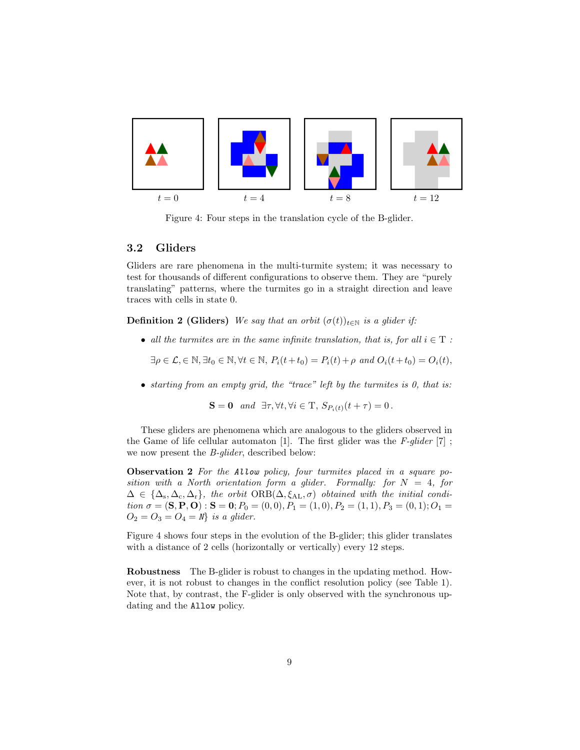

Figure 4: Four steps in the translation cycle of the B-glider.

#### 3.2 Gliders

Gliders are rare phenomena in the multi-turmite system; it was necessary to test for thousands of different configurations to observe them. They are "purely translating" patterns, where the turmites go in a straight direction and leave traces with cells in state 0.

**Definition 2 (Gliders)** We say that an orbit  $(\sigma(t))_{t\in\mathbb{N}}$  is a glider if:

• all the turmites are in the same infinite translation, that is, for all  $i \in T$ :

 $\exists \rho \in \mathcal{L}, \in \mathbb{N}, \exists t_0 \in \mathbb{N}, \forall t \in \mathbb{N}, P_i(t+t_0) = P_i(t) + \rho \text{ and } O_i(t+t_0) = O_i(t),$ 

• starting from an empty grid, the "trace" left by the turmites is 0, that is:

 $S = 0$  and  $\exists \tau, \forall t, \forall i \in \mathcal{T}, S_{P_i(t)}(t + \tau) = 0$ .

These gliders are phenomena which are analogous to the gliders observed in the Game of life cellular automaton [1]. The first glider was the  $F\text{-}glider$  [7]; we now present the B-glider, described below:

Observation 2 For the Allow policy, four turmites placed in a square position with a North orientation form a glider. Formally: for  $N = 4$ , for  $\Delta \in \{\Delta_{\rm s}, \Delta_{\rm c}, \Delta_{\rm r}\}\$ , the orbit  $\text{ORB}(\Delta, \xi_{\rm AL}, \sigma)$  obtained with the initial condition  $\sigma = (\mathbf{S}, \mathbf{P}, \mathbf{O}) : \mathbf{S} = \mathbf{0}; P_0 = (0, 0), P_1 = (1, 0), P_2 = (1, 1), P_3 = (0, 1); O_1 =$  $O_2 = O_3 = O_4 = N$  is a glider.

Figure 4 shows four steps in the evolution of the B-glider; this glider translates with a distance of 2 cells (horizontally or vertically) every 12 steps.

Robustness The B-glider is robust to changes in the updating method. However, it is not robust to changes in the conflict resolution policy (see Table 1). Note that, by contrast, the F-glider is only observed with the synchronous updating and the Allow policy.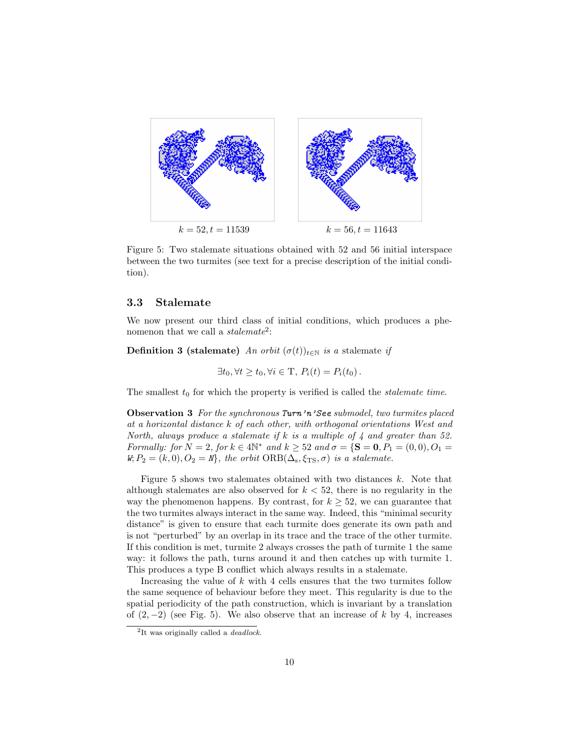

Figure 5: Two stalemate situations obtained with 52 and 56 initial interspace between the two turmites (see text for a precise description of the initial condition).

#### 3.3 Stalemate

We now present our third class of initial conditions, which produces a phenomenon that we call a  $stalemate^2$ :

**Definition 3 (stalemate)** An orbit  $(\sigma(t))_{t \in \mathbb{N}}$  is a stalemate if

$$
\exists t_0, \forall t \ge t_0, \forall i \in \mathcal{T}, P_i(t) = P_i(t_0).
$$

The smallest  $t_0$  for which the property is verified is called the *stalemate time*.

Observation 3 For the synchronous Turn'n'See submodel, two turmites placed at a horizontal distance k of each other, with orthogonal orientations West and North, always produce a stalemate if  $k$  is a multiple of  $4$  and greater than 52. Formally: for  $N = 2$ , for  $k \in 4\mathbb{N}^*$  and  $k \ge 52$  and  $\sigma = \{S = 0, P_1 = (0, 0), O_1 = 0\}$  $W, P_2 = (k, 0), O_2 = N$ , the orbit  $\text{ORB}(\Delta_s, \xi_{\text{TS}}, \sigma)$  is a stalemate.

Figure 5 shows two stalemates obtained with two distances  $k$ . Note that although stalemates are also observed for  $k < 52$ , there is no regularity in the way the phenomenon happens. By contrast, for  $k \geq 52$ , we can guarantee that the two turmites always interact in the same way. Indeed, this "minimal security distance" is given to ensure that each turmite does generate its own path and is not "perturbed" by an overlap in its trace and the trace of the other turmite. If this condition is met, turmite 2 always crosses the path of turmite 1 the same way: it follows the path, turns around it and then catches up with turmite 1. This produces a type B conflict which always results in a stalemate.

Increasing the value of  $k$  with 4 cells ensures that the two turmites follow the same sequence of behaviour before they meet. This regularity is due to the spatial periodicity of the path construction, which is invariant by a translation of  $(2, -2)$  (see Fig. 5). We also observe that an increase of k by 4, increases

 $2$ It was originally called a *deadlock*.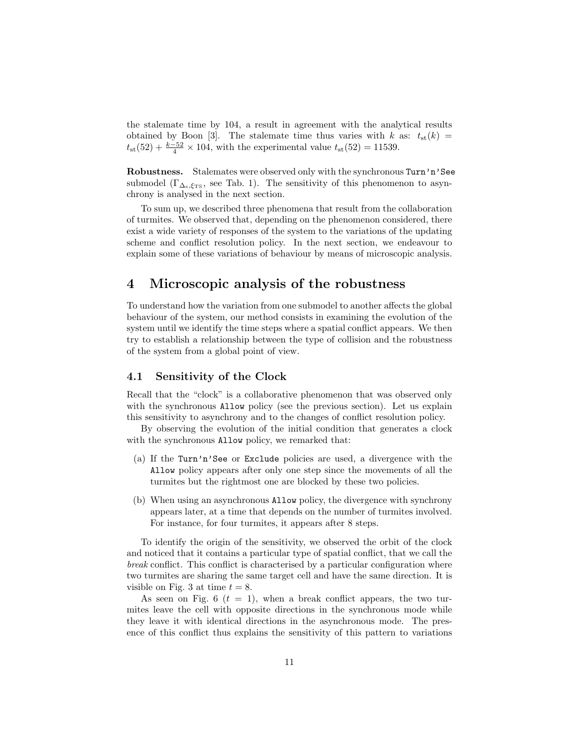the stalemate time by 104, a result in agreement with the analytical results obtained by Boon [3]. The stalemate time thus varies with k as:  $t_{st}(k)$  =  $t_{\rm st}(52) + \frac{k-52}{4} \times 104$ , with the experimental value  $t_{\rm st}(52) = 11539$ .

Robustness. Stalemates were observed only with the synchronous Turn'n'See submodel ( $\Gamma_{\Delta_{\rm s},\xi_{\rm TS}}$ , see Tab. 1). The sensitivity of this phenomenon to asynchrony is analysed in the next section.

To sum up, we described three phenomena that result from the collaboration of turmites. We observed that, depending on the phenomenon considered, there exist a wide variety of responses of the system to the variations of the updating scheme and conflict resolution policy. In the next section, we endeavour to explain some of these variations of behaviour by means of microscopic analysis.

### 4 Microscopic analysis of the robustness

To understand how the variation from one submodel to another affects the global behaviour of the system, our method consists in examining the evolution of the system until we identify the time steps where a spatial conflict appears. We then try to establish a relationship between the type of collision and the robustness of the system from a global point of view.

#### 4.1 Sensitivity of the Clock

Recall that the "clock" is a collaborative phenomenon that was observed only with the synchronous Allow policy (see the previous section). Let us explain this sensitivity to asynchrony and to the changes of conflict resolution policy.

By observing the evolution of the initial condition that generates a clock with the synchronous Allow policy, we remarked that:

- (a) If the Turn'n'See or Exclude policies are used, a divergence with the Allow policy appears after only one step since the movements of all the turmites but the rightmost one are blocked by these two policies.
- (b) When using an asynchronous Allow policy, the divergence with synchrony appears later, at a time that depends on the number of turmites involved. For instance, for four turmites, it appears after 8 steps.

To identify the origin of the sensitivity, we observed the orbit of the clock and noticed that it contains a particular type of spatial conflict, that we call the break conflict. This conflict is characterised by a particular configuration where two turmites are sharing the same target cell and have the same direction. It is visible on Fig. 3 at time  $t = 8$ .

As seen on Fig. 6  $(t = 1)$ , when a break conflict appears, the two turmites leave the cell with opposite directions in the synchronous mode while they leave it with identical directions in the asynchronous mode. The presence of this conflict thus explains the sensitivity of this pattern to variations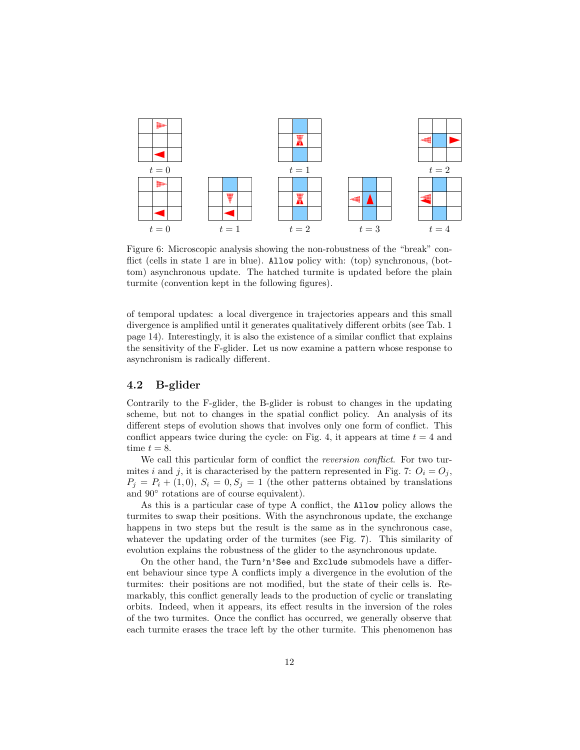

Figure 6: Microscopic analysis showing the non-robustness of the "break" conflict (cells in state 1 are in blue). Allow policy with: (top) synchronous, (bottom) asynchronous update. The hatched turmite is updated before the plain turmite (convention kept in the following figures).

of temporal updates: a local divergence in trajectories appears and this small divergence is amplified until it generates qualitatively different orbits (see Tab. 1 page 14). Interestingly, it is also the existence of a similar conflict that explains the sensitivity of the F-glider. Let us now examine a pattern whose response to asynchronism is radically different.

#### 4.2 B-glider

Contrarily to the F-glider, the B-glider is robust to changes in the updating scheme, but not to changes in the spatial conflict policy. An analysis of its different steps of evolution shows that involves only one form of conflict. This conflict appears twice during the cycle: on Fig. 4, it appears at time  $t = 4$  and time  $t = 8$ .

We call this particular form of conflict the *reversion conflict*. For two turmites i and j, it is characterised by the pattern represented in Fig. 7:  $O_i = O_j$ ,  $P_j = P_i + (1,0), S_i = 0, S_j = 1$  (the other patterns obtained by translations and 90◦ rotations are of course equivalent).

As this is a particular case of type A conflict, the Allow policy allows the turmites to swap their positions. With the asynchronous update, the exchange happens in two steps but the result is the same as in the synchronous case, whatever the updating order of the turmites (see Fig. 7). This similarity of evolution explains the robustness of the glider to the asynchronous update.

On the other hand, the Turn'n'See and Exclude submodels have a different behaviour since type A conflicts imply a divergence in the evolution of the turmites: their positions are not modified, but the state of their cells is. Remarkably, this conflict generally leads to the production of cyclic or translating orbits. Indeed, when it appears, its effect results in the inversion of the roles of the two turmites. Once the conflict has occurred, we generally observe that each turmite erases the trace left by the other turmite. This phenomenon has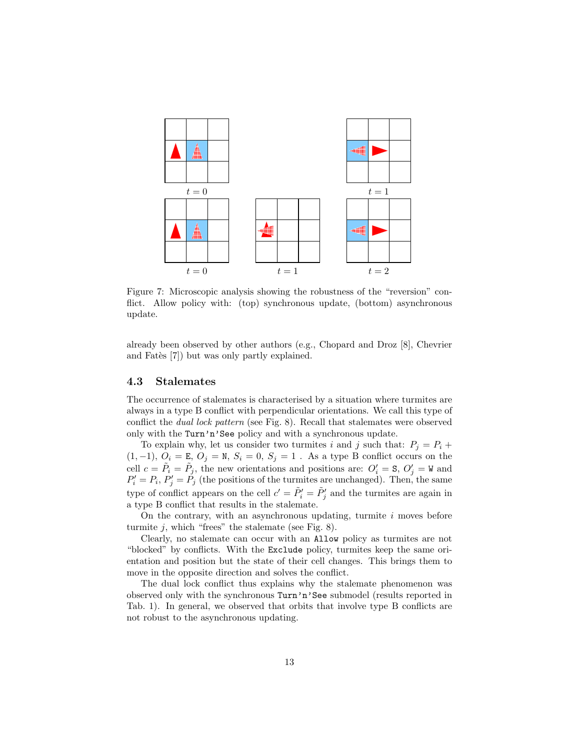

Figure 7: Microscopic analysis showing the robustness of the "reversion" conflict. Allow policy with: (top) synchronous update, (bottom) asynchronous update.

already been observed by other authors (e.g., Chopard and Droz [8], Chevrier and Fates [7]) but was only partly explained.

#### 4.3 Stalemates

The occurrence of stalemates is characterised by a situation where turmites are always in a type B conflict with perpendicular orientations. We call this type of conflict the dual lock pattern (see Fig. 8). Recall that stalemates were observed only with the Turn'n'See policy and with a synchronous update.

To explain why, let us consider two turmites i and j such that:  $P_j = P_i +$  $(1,-1)$ ,  $O_i = E$ ,  $O_j = N$ ,  $S_i = 0$ ,  $S_j = 1$ . As a type B conflict occurs on the cell  $c = \tilde{P}_i = \tilde{P}_j$ , the new orientations and positions are:  $O'_i = S$ ,  $O'_j = W$  and  $P'_i = P_i, P'_j = P_j$  (the positions of the turmites are unchanged). Then, the same type of conflict appears on the cell  $c' = \tilde{P}'_i = \tilde{P}'_j$  and the turmites are again in a type B conflict that results in the stalemate.

On the contrary, with an asynchronous updating, turmite  $i$  moves before turmite  $j$ , which "frees" the stalemate (see Fig. 8).

Clearly, no stalemate can occur with an Allow policy as turmites are not "blocked" by conflicts. With the Exclude policy, turmites keep the same orientation and position but the state of their cell changes. This brings them to move in the opposite direction and solves the conflict.

The dual lock conflict thus explains why the stalemate phenomenon was observed only with the synchronous Turn'n'See submodel (results reported in Tab. 1). In general, we observed that orbits that involve type B conflicts are not robust to the asynchronous updating.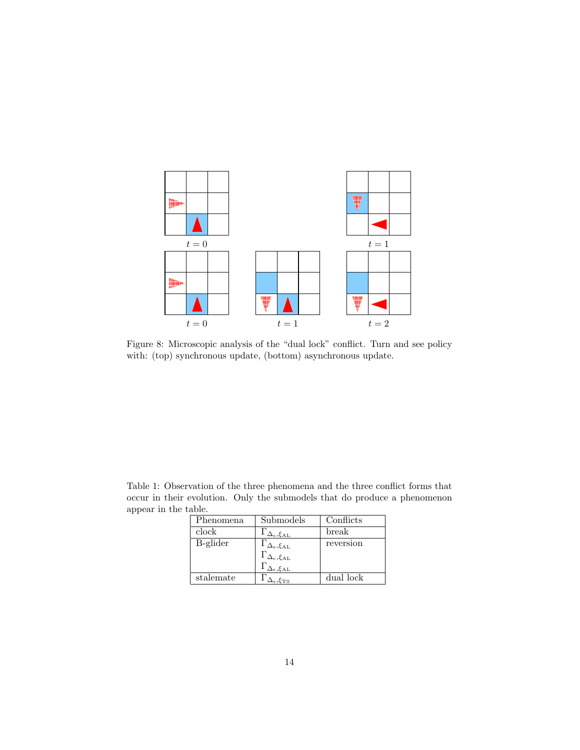

Figure 8: Microscopic analysis of the "dual lock" conflict. Turn and see policy with: (top) synchronous update, (bottom) asynchronous update.

Table 1: Observation of the three phenomena and the three conflict forms that occur in their evolution. Only the submodels that do produce a phenomenon appear in the table.

| Phenomena | Submodels                                                                     | Conflicts |
|-----------|-------------------------------------------------------------------------------|-----------|
| clock     | $\Gamma_{\Delta_\mathrm{s},\xi_{\mathrm{AL}}}$                                | break     |
| B-glider  | $\Gamma_{\Delta_\mathrm{s},\xi_\mathrm{AL}}$                                  | reversion |
|           |                                                                               |           |
|           | $\Gamma_{\Delta_{\rm c},\xi_{\rm AL}}$ $\Gamma_{\Delta_{\rm r},\xi_{\rm AL}}$ |           |
| stalemate | $\Delta_\text{s}$ , $\xi_\text{TS}$                                           | dual lock |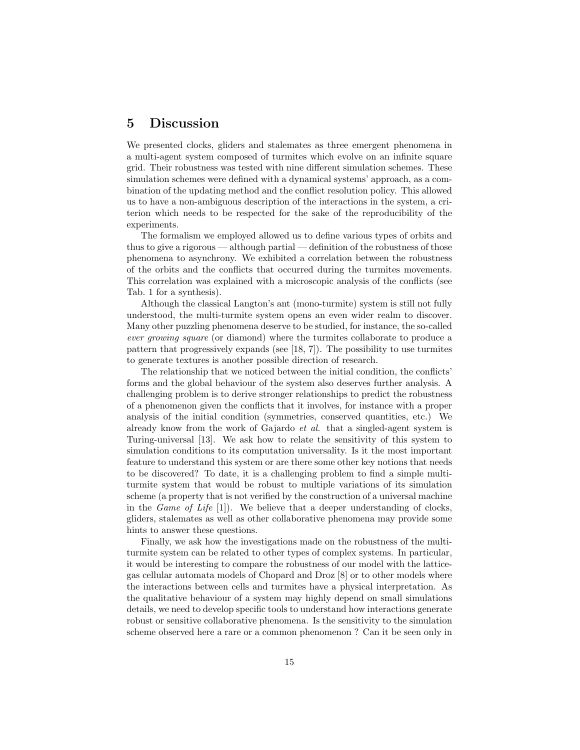### 5 Discussion

We presented clocks, gliders and stalemates as three emergent phenomena in a multi-agent system composed of turmites which evolve on an infinite square grid. Their robustness was tested with nine different simulation schemes. These simulation schemes were defined with a dynamical systems' approach, as a combination of the updating method and the conflict resolution policy. This allowed us to have a non-ambiguous description of the interactions in the system, a criterion which needs to be respected for the sake of the reproducibility of the experiments.

The formalism we employed allowed us to define various types of orbits and thus to give a rigorous — although partial — definition of the robustness of those phenomena to asynchrony. We exhibited a correlation between the robustness of the orbits and the conflicts that occurred during the turmites movements. This correlation was explained with a microscopic analysis of the conflicts (see Tab. 1 for a synthesis).

Although the classical Langton's ant (mono-turmite) system is still not fully understood, the multi-turmite system opens an even wider realm to discover. Many other puzzling phenomena deserve to be studied, for instance, the so-called ever growing square (or diamond) where the turmites collaborate to produce a pattern that progressively expands (see [18, 7]). The possibility to use turmites to generate textures is another possible direction of research.

The relationship that we noticed between the initial condition, the conflicts' forms and the global behaviour of the system also deserves further analysis. A challenging problem is to derive stronger relationships to predict the robustness of a phenomenon given the conflicts that it involves, for instance with a proper analysis of the initial condition (symmetries, conserved quantities, etc.) We already know from the work of Gajardo et al. that a singled-agent system is Turing-universal [13]. We ask how to relate the sensitivity of this system to simulation conditions to its computation universality. Is it the most important feature to understand this system or are there some other key notions that needs to be discovered? To date, it is a challenging problem to find a simple multiturmite system that would be robust to multiple variations of its simulation scheme (a property that is not verified by the construction of a universal machine in the *Game of Life*  $[1]$ . We believe that a deeper understanding of clocks, gliders, stalemates as well as other collaborative phenomena may provide some hints to answer these questions.

Finally, we ask how the investigations made on the robustness of the multiturmite system can be related to other types of complex systems. In particular, it would be interesting to compare the robustness of our model with the latticegas cellular automata models of Chopard and Droz [8] or to other models where the interactions between cells and turmites have a physical interpretation. As the qualitative behaviour of a system may highly depend on small simulations details, we need to develop specific tools to understand how interactions generate robust or sensitive collaborative phenomena. Is the sensitivity to the simulation scheme observed here a rare or a common phenomenon ? Can it be seen only in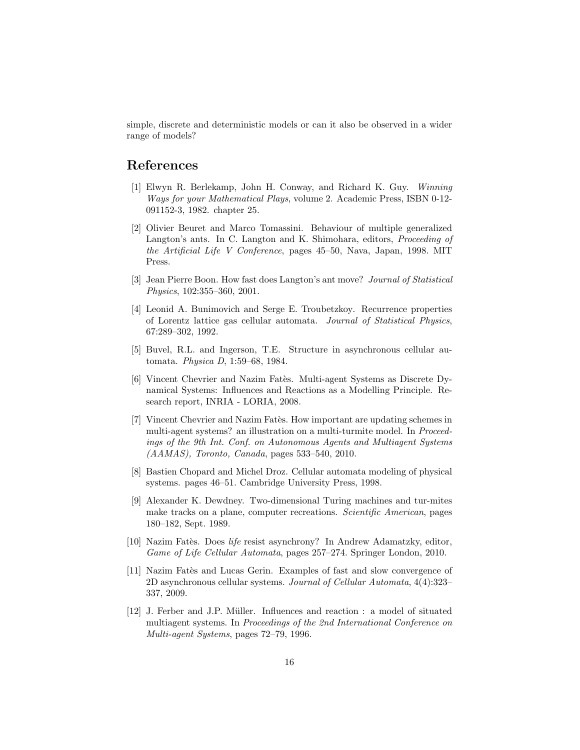simple, discrete and deterministic models or can it also be observed in a wider range of models?

### References

- [1] Elwyn R. Berlekamp, John H. Conway, and Richard K. Guy. Winning Ways for your Mathematical Plays, volume 2. Academic Press, ISBN 0-12- 091152-3, 1982. chapter 25.
- [2] Olivier Beuret and Marco Tomassini. Behaviour of multiple generalized Langton's ants. In C. Langton and K. Shimohara, editors, Proceeding of the Artificial Life V Conference, pages 45–50, Nava, Japan, 1998. MIT Press.
- [3] Jean Pierre Boon. How fast does Langton's ant move? Journal of Statistical Physics, 102:355–360, 2001.
- [4] Leonid A. Bunimovich and Serge E. Troubetzkoy. Recurrence properties of Lorentz lattice gas cellular automata. Journal of Statistical Physics, 67:289–302, 1992.
- [5] Buvel, R.L. and Ingerson, T.E. Structure in asynchronous cellular automata. Physica D, 1:59–68, 1984.
- [6] Vincent Chevrier and Nazim Fatès. Multi-agent Systems as Discrete Dynamical Systems: Influences and Reactions as a Modelling Principle. Research report, INRIA - LORIA, 2008.
- [7] Vincent Chevrier and Nazim Fat`es. How important are updating schemes in multi-agent systems? an illustration on a multi-turmite model. In Proceedings of the 9th Int. Conf. on Autonomous Agents and Multiagent Systems (AAMAS), Toronto, Canada, pages 533–540, 2010.
- [8] Bastien Chopard and Michel Droz. Cellular automata modeling of physical systems. pages 46–51. Cambridge University Press, 1998.
- [9] Alexander K. Dewdney. Two-dimensional Turing machines and tur-mites make tracks on a plane, computer recreations. Scientific American, pages 180–182, Sept. 1989.
- [10] Nazim Fatès. Does life resist asynchrony? In Andrew Adamatzky, editor, Game of Life Cellular Automata, pages 257–274. Springer London, 2010.
- [11] Nazim Fates and Lucas Gerin. Examples of fast and slow convergence of 2D asynchronous cellular systems. Journal of Cellular Automata, 4(4):323– 337, 2009.
- [12] J. Ferber and J.P. Müller. Influences and reaction : a model of situated multiagent systems. In Proceedings of the 2nd International Conference on Multi-agent Systems, pages 72–79, 1996.